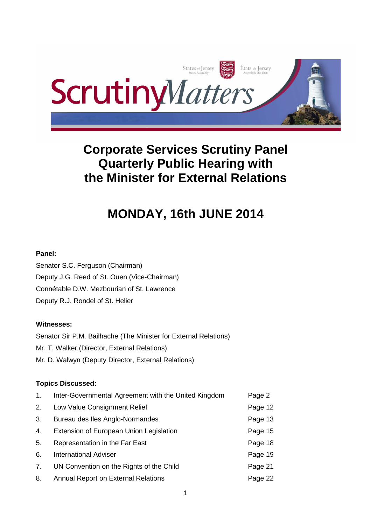

# **Corporate Services Scrutiny Panel Quarterly Public Hearing with the Minister for External Relations**

# **MONDAY, 16th JUNE 2014**

# **Panel:**

Senator S.C. Ferguson (Chairman) Deputy J.G. Reed of St. Ouen (Vice-Chairman) Connétable D.W. Mezbourian of St. Lawrence Deputy R.J. Rondel of St. Helier

# **Witnesses:**

Senator Sir P.M. Bailhache (The Minister for External Relations) Mr. T. Walker (Director, External Relations) Mr. D. Walwyn (Deputy Director, External Relations)

# **Topics Discussed:**

| 1. | Inter-Governmental Agreement with the United Kingdom | Page 2  |
|----|------------------------------------------------------|---------|
| 2. | Low Value Consignment Relief                         | Page 12 |
| 3. | Bureau des Iles Anglo-Normandes                      | Page 13 |
| 4. | Extension of European Union Legislation              | Page 15 |
| 5. | Representation in the Far East                       | Page 18 |
| 6. | <b>International Adviser</b>                         | Page 19 |
| 7. | UN Convention on the Rights of the Child             | Page 21 |
| 8. | <b>Annual Report on External Relations</b>           | Page 22 |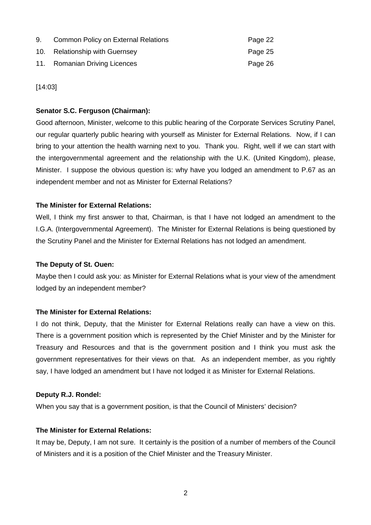| 9. | <b>Common Policy on External Relations</b> | Page 22 |
|----|--------------------------------------------|---------|
|    | 10. Relationship with Guernsey             | Page 25 |
|    | 11. Romanian Driving Licences              | Page 26 |

[14:03]

## **Senator S.C. Ferguson (Chairman):**

Good afternoon, Minister, welcome to this public hearing of the Corporate Services Scrutiny Panel, our regular quarterly public hearing with yourself as Minister for External Relations. Now, if I can bring to your attention the health warning next to you. Thank you. Right, well if we can start with the intergovernmental agreement and the relationship with the U.K. (United Kingdom), please, Minister. I suppose the obvious question is: why have you lodged an amendment to P.67 as an independent member and not as Minister for External Relations?

## **The Minister for External Relations:**

Well, I think my first answer to that, Chairman, is that I have not lodged an amendment to the I.G.A. (Intergovernmental Agreement). The Minister for External Relations is being questioned by the Scrutiny Panel and the Minister for External Relations has not lodged an amendment.

## **The Deputy of St. Ouen:**

Maybe then I could ask you: as Minister for External Relations what is your view of the amendment lodged by an independent member?

# **The Minister for External Relations:**

I do not think, Deputy, that the Minister for External Relations really can have a view on this. There is a government position which is represented by the Chief Minister and by the Minister for Treasury and Resources and that is the government position and I think you must ask the government representatives for their views on that. As an independent member, as you rightly say, I have lodged an amendment but I have not lodged it as Minister for External Relations.

## **Deputy R.J. Rondel:**

When you say that is a government position, is that the Council of Ministers' decision?

## **The Minister for External Relations:**

It may be, Deputy, I am not sure. It certainly is the position of a number of members of the Council of Ministers and it is a position of the Chief Minister and the Treasury Minister.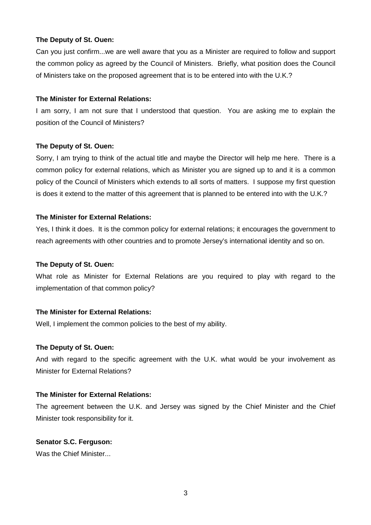#### **The Deputy of St. Ouen:**

Can you just confirm...we are well aware that you as a Minister are required to follow and support the common policy as agreed by the Council of Ministers. Briefly, what position does the Council of Ministers take on the proposed agreement that is to be entered into with the U.K.?

#### **The Minister for External Relations:**

I am sorry, I am not sure that I understood that question. You are asking me to explain the position of the Council of Ministers?

#### **The Deputy of St. Ouen:**

Sorry, I am trying to think of the actual title and maybe the Director will help me here. There is a common policy for external relations, which as Minister you are signed up to and it is a common policy of the Council of Ministers which extends to all sorts of matters. I suppose my first question is does it extend to the matter of this agreement that is planned to be entered into with the U.K.?

## **The Minister for External Relations:**

Yes, I think it does. It is the common policy for external relations; it encourages the government to reach agreements with other countries and to promote Jersey's international identity and so on.

#### **The Deputy of St. Ouen:**

What role as Minister for External Relations are you required to play with regard to the implementation of that common policy?

## **The Minister for External Relations:**

Well, I implement the common policies to the best of my ability.

#### **The Deputy of St. Ouen:**

And with regard to the specific agreement with the U.K. what would be your involvement as Minister for External Relations?

#### **The Minister for External Relations:**

The agreement between the U.K. and Jersey was signed by the Chief Minister and the Chief Minister took responsibility for it.

#### **Senator S.C. Ferguson:**

Was the Chief Minister...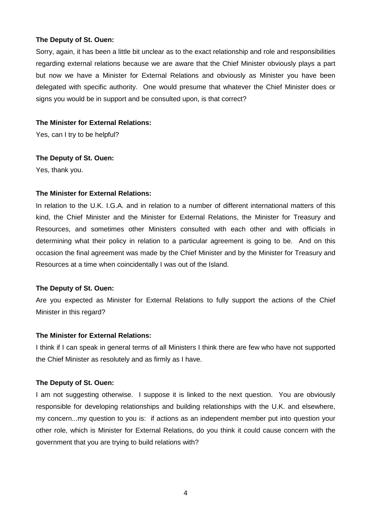#### **The Deputy of St. Ouen:**

Sorry, again, it has been a little bit unclear as to the exact relationship and role and responsibilities regarding external relations because we are aware that the Chief Minister obviously plays a part but now we have a Minister for External Relations and obviously as Minister you have been delegated with specific authority. One would presume that whatever the Chief Minister does or signs you would be in support and be consulted upon, is that correct?

#### **The Minister for External Relations:**

Yes, can I try to be helpful?

#### **The Deputy of St. Ouen:**

Yes, thank you.

## **The Minister for External Relations:**

In relation to the U.K. I.G.A. and in relation to a number of different international matters of this kind, the Chief Minister and the Minister for External Relations, the Minister for Treasury and Resources, and sometimes other Ministers consulted with each other and with officials in determining what their policy in relation to a particular agreement is going to be. And on this occasion the final agreement was made by the Chief Minister and by the Minister for Treasury and Resources at a time when coincidentally I was out of the Island.

## **The Deputy of St. Ouen:**

Are you expected as Minister for External Relations to fully support the actions of the Chief Minister in this regard?

## **The Minister for External Relations:**

I think if I can speak in general terms of all Ministers I think there are few who have not supported the Chief Minister as resolutely and as firmly as I have.

## **The Deputy of St. Ouen:**

I am not suggesting otherwise. I suppose it is linked to the next question. You are obviously responsible for developing relationships and building relationships with the U.K. and elsewhere, my concern...my question to you is: if actions as an independent member put into question your other role, which is Minister for External Relations, do you think it could cause concern with the government that you are trying to build relations with?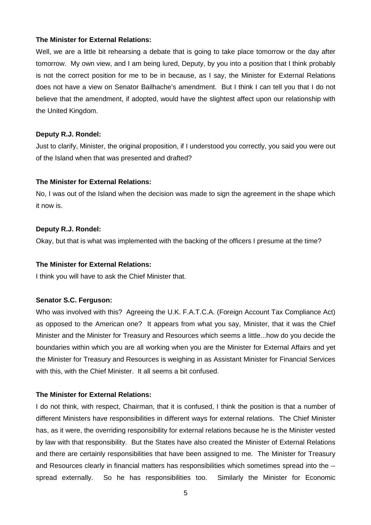#### **The Minister for External Relations:**

Well, we are a little bit rehearsing a debate that is going to take place tomorrow or the day after tomorrow. My own view, and I am being lured, Deputy, by you into a position that I think probably is not the correct position for me to be in because, as I say, the Minister for External Relations does not have a view on Senator Bailhache's amendment. But I think I can tell you that I do not believe that the amendment, if adopted, would have the slightest affect upon our relationship with the United Kingdom.

#### **Deputy R.J. Rondel:**

Just to clarify, Minister, the original proposition, if I understood you correctly, you said you were out of the Island when that was presented and drafted?

## **The Minister for External Relations:**

No, I was out of the Island when the decision was made to sign the agreement in the shape which it now is.

#### **Deputy R.J. Rondel:**

Okay, but that is what was implemented with the backing of the officers I presume at the time?

#### **The Minister for External Relations:**

I think you will have to ask the Chief Minister that.

## **Senator S.C. Ferguson:**

Who was involved with this? Agreeing the U.K. F.A.T.C.A. (Foreign Account Tax Compliance Act) as opposed to the American one? It appears from what you say, Minister, that it was the Chief Minister and the Minister for Treasury and Resources which seems a little...how do you decide the boundaries within which you are all working when you are the Minister for External Affairs and yet the Minister for Treasury and Resources is weighing in as Assistant Minister for Financial Services with this, with the Chief Minister. It all seems a bit confused.

## **The Minister for External Relations:**

I do not think, with respect, Chairman, that it is confused, I think the position is that a number of different Ministers have responsibilities in different ways for external relations. The Chief Minister has, as it were, the overriding responsibility for external relations because he is the Minister vested by law with that responsibility. But the States have also created the Minister of External Relations and there are certainly responsibilities that have been assigned to me. The Minister for Treasury and Resources clearly in financial matters has responsibilities which sometimes spread into the - spread externally. So he has responsibilities too. Similarly the Minister for Economic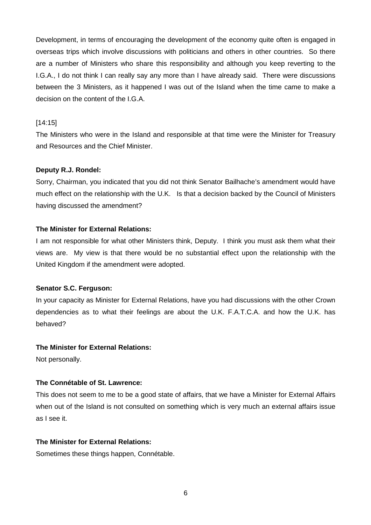Development, in terms of encouraging the development of the economy quite often is engaged in overseas trips which involve discussions with politicians and others in other countries. So there are a number of Ministers who share this responsibility and although you keep reverting to the I.G.A., I do not think I can really say any more than I have already said. There were discussions between the 3 Ministers, as it happened I was out of the Island when the time came to make a decision on the content of the I.G.A.

#### [14:15]

The Ministers who were in the Island and responsible at that time were the Minister for Treasury and Resources and the Chief Minister.

#### **Deputy R.J. Rondel:**

Sorry, Chairman, you indicated that you did not think Senator Bailhache's amendment would have much effect on the relationship with the U.K. Is that a decision backed by the Council of Ministers having discussed the amendment?

#### **The Minister for External Relations:**

I am not responsible for what other Ministers think, Deputy. I think you must ask them what their views are. My view is that there would be no substantial effect upon the relationship with the United Kingdom if the amendment were adopted.

#### **Senator S.C. Ferguson:**

In your capacity as Minister for External Relations, have you had discussions with the other Crown dependencies as to what their feelings are about the U.K. F.A.T.C.A. and how the U.K. has behaved?

#### **The Minister for External Relations:**

Not personally.

## **The Connétable of St. Lawrence:**

This does not seem to me to be a good state of affairs, that we have a Minister for External Affairs when out of the Island is not consulted on something which is very much an external affairs issue as I see it.

#### **The Minister for External Relations:**

Sometimes these things happen, Connétable.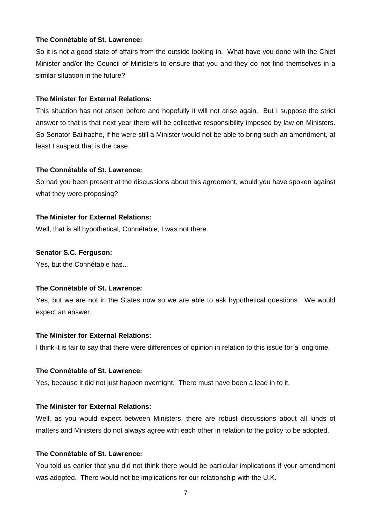#### **The Connétable of St. Lawrence:**

So it is not a good state of affairs from the outside looking in. What have you done with the Chief Minister and/or the Council of Ministers to ensure that you and they do not find themselves in a similar situation in the future?

#### **The Minister for External Relations:**

This situation has not arisen before and hopefully it will not arise again. But I suppose the strict answer to that is that next year there will be collective responsibility imposed by law on Ministers. So Senator Bailhache, if he were still a Minister would not be able to bring such an amendment, at least I suspect that is the case.

#### **The Connétable of St. Lawrence:**

So had you been present at the discussions about this agreement, would you have spoken against what they were proposing?

#### **The Minister for External Relations:**

Well, that is all hypothetical, Connétable, I was not there.

# **Senator S.C. Ferguson:**

Yes, but the Connétable has...

#### **The Connétable of St. Lawrence:**

Yes, but we are not in the States now so we are able to ask hypothetical questions. We would expect an answer.

#### **The Minister for External Relations:**

I think it is fair to say that there were differences of opinion in relation to this issue for a long time.

#### **The Connétable of St. Lawrence:**

Yes, because it did not just happen overnight. There must have been a lead in to it.

## **The Minister for External Relations:**

Well, as you would expect between Ministers, there are robust discussions about all kinds of matters and Ministers do not always agree with each other in relation to the policy to be adopted.

#### **The Connétable of St. Lawrence:**

You told us earlier that you did not think there would be particular implications if your amendment was adopted. There would not be implications for our relationship with the U.K.

7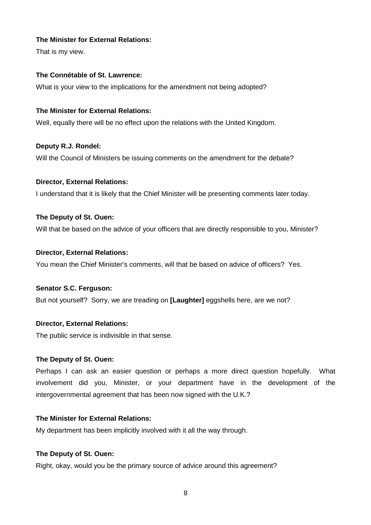## **The Minister for External Relations:**

That is my view.

# **The Connétable of St. Lawrence:**

What is your view to the implications for the amendment not being adopted?

# **The Minister for External Relations:**

Well, equally there will be no effect upon the relations with the United Kingdom.

# **Deputy R.J. Rondel:**  Will the Council of Ministers be issuing comments on the amendment for the debate?

## **Director, External Relations:**

I understand that it is likely that the Chief Minister will be presenting comments later today.

## **The Deputy of St. Ouen:**

Will that be based on the advice of your officers that are directly responsible to you, Minister?

## **Director, External Relations:**

You mean the Chief Minister's comments, will that be based on advice of officers? Yes.

## **Senator S.C. Ferguson:**

But not yourself? Sorry, we are treading on **[Laughter]** eggshells here, are we not?

## **Director, External Relations:**

The public service is indivisible in that sense.

## **The Deputy of St. Ouen:**

Perhaps I can ask an easier question or perhaps a more direct question hopefully. What involvement did you, Minister, or your department have in the development of the intergovernmental agreement that has been now signed with the U.K.?

# **The Minister for External Relations:**

My department has been implicitly involved with it all the way through.

## **The Deputy of St. Ouen:**

Right, okay, would you be the primary source of advice around this agreement?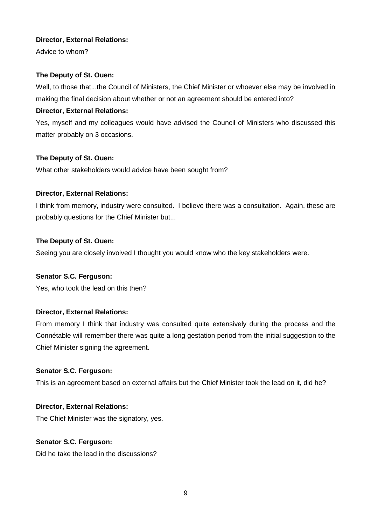## **Director, External Relations:**

Advice to whom?

# **The Deputy of St. Ouen:**

Well, to those that...the Council of Ministers, the Chief Minister or whoever else may be involved in making the final decision about whether or not an agreement should be entered into?

# **Director, External Relations:**

Yes, myself and my colleagues would have advised the Council of Ministers who discussed this matter probably on 3 occasions.

# **The Deputy of St. Ouen:**

What other stakeholders would advice have been sought from?

## **Director, External Relations:**

I think from memory, industry were consulted. I believe there was a consultation. Again, these are probably questions for the Chief Minister but...

## **The Deputy of St. Ouen:**

Seeing you are closely involved I thought you would know who the key stakeholders were.

## **Senator S.C. Ferguson:**

Yes, who took the lead on this then?

# **Director, External Relations:**

From memory I think that industry was consulted quite extensively during the process and the Connétable will remember there was quite a long gestation period from the initial suggestion to the Chief Minister signing the agreement.

## **Senator S.C. Ferguson:**

This is an agreement based on external affairs but the Chief Minister took the lead on it, did he?

# **Director, External Relations:**

The Chief Minister was the signatory, yes.

## **Senator S.C. Ferguson:**

Did he take the lead in the discussions?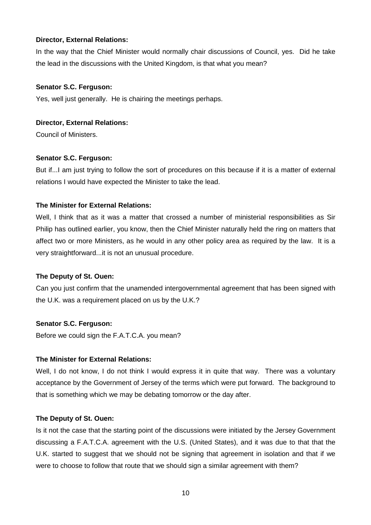## **Director, External Relations:**

In the way that the Chief Minister would normally chair discussions of Council, yes. Did he take the lead in the discussions with the United Kingdom, is that what you mean?

# **Senator S.C. Ferguson:**

Yes, well just generally. He is chairing the meetings perhaps.

# **Director, External Relations:**

Council of Ministers.

# **Senator S.C. Ferguson:**

But if...I am just trying to follow the sort of procedures on this because if it is a matter of external relations I would have expected the Minister to take the lead.

## **The Minister for External Relations:**

Well, I think that as it was a matter that crossed a number of ministerial responsibilities as Sir Philip has outlined earlier, you know, then the Chief Minister naturally held the ring on matters that affect two or more Ministers, as he would in any other policy area as required by the law. It is a very straightforward...it is not an unusual procedure.

# **The Deputy of St. Ouen:**

Can you just confirm that the unamended intergovernmental agreement that has been signed with the U.K. was a requirement placed on us by the U.K.?

# **Senator S.C. Ferguson:**

Before we could sign the F.A.T.C.A. you mean?

# **The Minister for External Relations:**

Well, I do not know, I do not think I would express it in quite that way. There was a voluntary acceptance by the Government of Jersey of the terms which were put forward. The background to that is something which we may be debating tomorrow or the day after.

# **The Deputy of St. Ouen:**

Is it not the case that the starting point of the discussions were initiated by the Jersey Government discussing a F.A.T.C.A. agreement with the U.S. (United States), and it was due to that that the U.K. started to suggest that we should not be signing that agreement in isolation and that if we were to choose to follow that route that we should sign a similar agreement with them?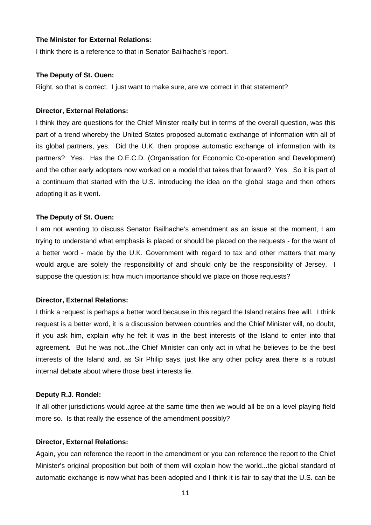#### **The Minister for External Relations:**

I think there is a reference to that in Senator Bailhache's report.

#### **The Deputy of St. Ouen:**

Right, so that is correct. I just want to make sure, are we correct in that statement?

#### **Director, External Relations:**

I think they are questions for the Chief Minister really but in terms of the overall question, was this part of a trend whereby the United States proposed automatic exchange of information with all of its global partners, yes. Did the U.K. then propose automatic exchange of information with its partners? Yes. Has the O.E.C.D. (Organisation for Economic Co-operation and Development) and the other early adopters now worked on a model that takes that forward? Yes. So it is part of a continuum that started with the U.S. introducing the idea on the global stage and then others adopting it as it went.

#### **The Deputy of St. Ouen:**

I am not wanting to discuss Senator Bailhache's amendment as an issue at the moment, I am trying to understand what emphasis is placed or should be placed on the requests - for the want of a better word - made by the U.K. Government with regard to tax and other matters that many would argue are solely the responsibility of and should only be the responsibility of Jersey. I suppose the question is: how much importance should we place on those requests?

#### **Director, External Relations:**

I think a request is perhaps a better word because in this regard the Island retains free will. I think request is a better word, it is a discussion between countries and the Chief Minister will, no doubt, if you ask him, explain why he felt it was in the best interests of the Island to enter into that agreement. But he was not...the Chief Minister can only act in what he believes to be the best interests of the Island and, as Sir Philip says, just like any other policy area there is a robust internal debate about where those best interests lie.

#### **Deputy R.J. Rondel:**

If all other jurisdictions would agree at the same time then we would all be on a level playing field more so. Is that really the essence of the amendment possibly?

#### **Director, External Relations:**

Again, you can reference the report in the amendment or you can reference the report to the Chief Minister's original proposition but both of them will explain how the world...the global standard of automatic exchange is now what has been adopted and I think it is fair to say that the U.S. can be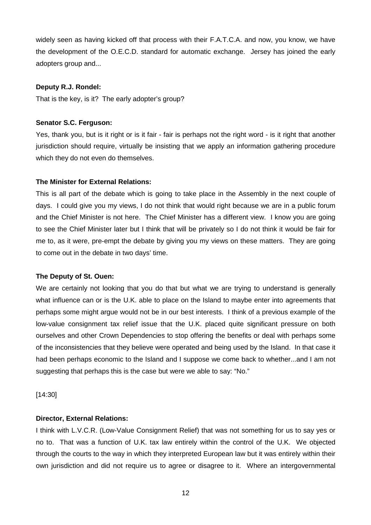widely seen as having kicked off that process with their F.A.T.C.A. and now, you know, we have the development of the O.E.C.D. standard for automatic exchange. Jersey has joined the early adopters group and...

## **Deputy R.J. Rondel:**

That is the key, is it? The early adopter's group?

#### **Senator S.C. Ferguson:**

Yes, thank you, but is it right or is it fair - fair is perhaps not the right word - is it right that another jurisdiction should require, virtually be insisting that we apply an information gathering procedure which they do not even do themselves.

#### **The Minister for External Relations:**

This is all part of the debate which is going to take place in the Assembly in the next couple of days. I could give you my views, I do not think that would right because we are in a public forum and the Chief Minister is not here. The Chief Minister has a different view. I know you are going to see the Chief Minister later but I think that will be privately so I do not think it would be fair for me to, as it were, pre-empt the debate by giving you my views on these matters. They are going to come out in the debate in two days' time.

#### **The Deputy of St. Ouen:**

We are certainly not looking that you do that but what we are trying to understand is generally what influence can or is the U.K. able to place on the Island to maybe enter into agreements that perhaps some might argue would not be in our best interests. I think of a previous example of the low-value consignment tax relief issue that the U.K. placed quite significant pressure on both ourselves and other Crown Dependencies to stop offering the benefits or deal with perhaps some of the inconsistencies that they believe were operated and being used by the Island. In that case it had been perhaps economic to the Island and I suppose we come back to whether...and I am not suggesting that perhaps this is the case but were we able to say: "No."

[14:30]

#### **Director, External Relations:**

I think with L.V.C.R. (Low-Value Consignment Relief) that was not something for us to say yes or no to. That was a function of U.K. tax law entirely within the control of the U.K. We objected through the courts to the way in which they interpreted European law but it was entirely within their own jurisdiction and did not require us to agree or disagree to it. Where an intergovernmental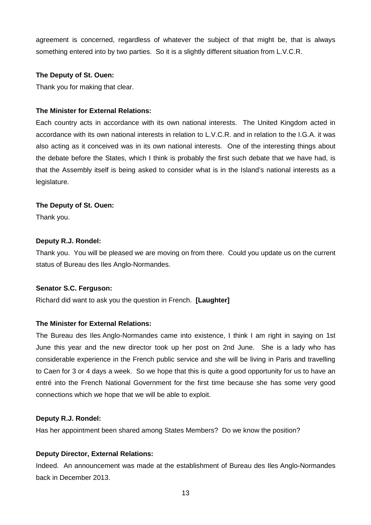agreement is concerned, regardless of whatever the subject of that might be, that is always something entered into by two parties. So it is a slightly different situation from L.V.C.R.

#### **The Deputy of St. Ouen:**

Thank you for making that clear.

## **The Minister for External Relations:**

Each country acts in accordance with its own national interests. The United Kingdom acted in accordance with its own national interests in relation to L.V.C.R. and in relation to the I.G.A. it was also acting as it conceived was in its own national interests. One of the interesting things about the debate before the States, which I think is probably the first such debate that we have had, is that the Assembly itself is being asked to consider what is in the Island's national interests as a legislature.

#### **The Deputy of St. Ouen:**

Thank you.

#### **Deputy R.J. Rondel:**

Thank you. You will be pleased we are moving on from there. Could you update us on the current status of Bureau des Iles Anglo-Normandes.

## **Senator S.C. Ferguson:**

Richard did want to ask you the question in French. **[Laughter]**

## **The Minister for External Relations:**

The Bureau des Iles Anglo-Normandes came into existence, I think I am right in saying on 1st June this year and the new director took up her post on 2nd June. She is a lady who has considerable experience in the French public service and she will be living in Paris and travelling to Caen for 3 or 4 days a week. So we hope that this is quite a good opportunity for us to have an entré into the French National Government for the first time because she has some very good connections which we hope that we will be able to exploit.

#### **Deputy R.J. Rondel:**

Has her appointment been shared among States Members? Do we know the position?

## **Deputy Director, External Relations:**

Indeed. An announcement was made at the establishment of Bureau des Iles Anglo-Normandes back in December 2013.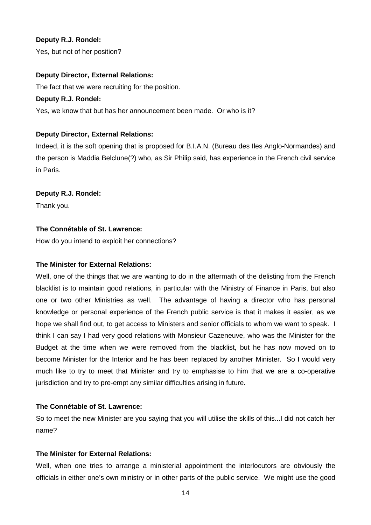## **Deputy R.J. Rondel:**

Yes, but not of her position?

#### **Deputy Director, External Relations:**

The fact that we were recruiting for the position.

#### **Deputy R.J. Rondel:**

Yes, we know that but has her announcement been made. Or who is it?

## **Deputy Director, External Relations:**

Indeed, it is the soft opening that is proposed for B.I.A.N. (Bureau des Iles Anglo-Normandes) and the person is Maddia Belclune(?) who, as Sir Philip said, has experience in the French civil service in Paris.

## **Deputy R.J. Rondel:**

Thank you.

## **The Connétable of St. Lawrence:**

How do you intend to exploit her connections?

## **The Minister for External Relations:**

Well, one of the things that we are wanting to do in the aftermath of the delisting from the French blacklist is to maintain good relations, in particular with the Ministry of Finance in Paris, but also one or two other Ministries as well. The advantage of having a director who has personal knowledge or personal experience of the French public service is that it makes it easier, as we hope we shall find out, to get access to Ministers and senior officials to whom we want to speak. I think I can say I had very good relations with Monsieur Cazeneuve, who was the Minister for the Budget at the time when we were removed from the blacklist, but he has now moved on to become Minister for the Interior and he has been replaced by another Minister. So I would very much like to try to meet that Minister and try to emphasise to him that we are a co-operative jurisdiction and try to pre-empt any similar difficulties arising in future.

## **The Connétable of St. Lawrence:**

So to meet the new Minister are you saying that you will utilise the skills of this...I did not catch her name?

## **The Minister for External Relations:**

Well, when one tries to arrange a ministerial appointment the interlocutors are obviously the officials in either one's own ministry or in other parts of the public service. We might use the good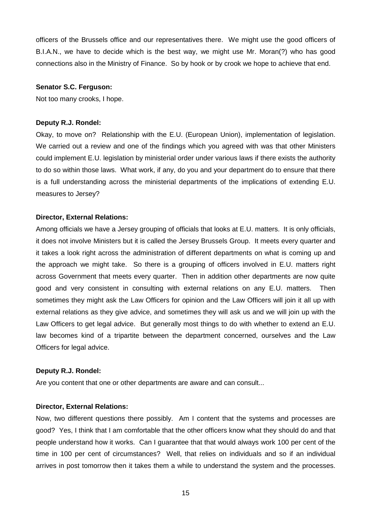officers of the Brussels office and our representatives there. We might use the good officers of B.I.A.N., we have to decide which is the best way, we might use Mr. Moran(?) who has good connections also in the Ministry of Finance. So by hook or by crook we hope to achieve that end.

#### **Senator S.C. Ferguson:**

Not too many crooks, I hope.

#### **Deputy R.J. Rondel:**

Okay, to move on? Relationship with the E.U. (European Union), implementation of legislation. We carried out a review and one of the findings which you agreed with was that other Ministers could implement E.U. legislation by ministerial order under various laws if there exists the authority to do so within those laws. What work, if any, do you and your department do to ensure that there is a full understanding across the ministerial departments of the implications of extending E.U. measures to Jersey?

#### **Director, External Relations:**

Among officials we have a Jersey grouping of officials that looks at E.U. matters. It is only officials, it does not involve Ministers but it is called the Jersey Brussels Group. It meets every quarter and it takes a look right across the administration of different departments on what is coming up and the approach we might take. So there is a grouping of officers involved in E.U. matters right across Government that meets every quarter. Then in addition other departments are now quite good and very consistent in consulting with external relations on any E.U. matters. Then sometimes they might ask the Law Officers for opinion and the Law Officers will join it all up with external relations as they give advice, and sometimes they will ask us and we will join up with the Law Officers to get legal advice. But generally most things to do with whether to extend an E.U. law becomes kind of a tripartite between the department concerned, ourselves and the Law Officers for legal advice.

#### **Deputy R.J. Rondel:**

Are you content that one or other departments are aware and can consult...

#### **Director, External Relations:**

Now, two different questions there possibly. Am I content that the systems and processes are good? Yes, I think that I am comfortable that the other officers know what they should do and that people understand how it works. Can I guarantee that that would always work 100 per cent of the time in 100 per cent of circumstances? Well, that relies on individuals and so if an individual arrives in post tomorrow then it takes them a while to understand the system and the processes.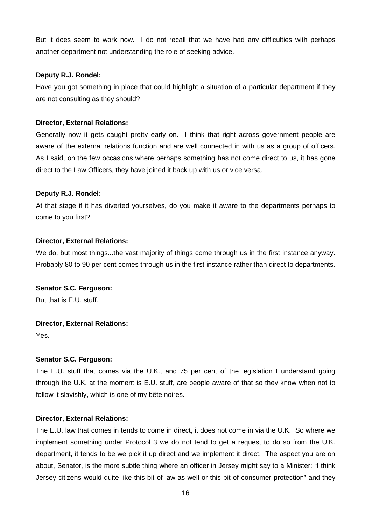But it does seem to work now. I do not recall that we have had any difficulties with perhaps another department not understanding the role of seeking advice.

## **Deputy R.J. Rondel:**

Have you got something in place that could highlight a situation of a particular department if they are not consulting as they should?

# **Director, External Relations:**

Generally now it gets caught pretty early on. I think that right across government people are aware of the external relations function and are well connected in with us as a group of officers. As I said, on the few occasions where perhaps something has not come direct to us, it has gone direct to the Law Officers, they have joined it back up with us or vice versa.

## **Deputy R.J. Rondel:**

At that stage if it has diverted yourselves, do you make it aware to the departments perhaps to come to you first?

## **Director, External Relations:**

We do, but most things...the vast majority of things come through us in the first instance anyway. Probably 80 to 90 per cent comes through us in the first instance rather than direct to departments.

# **Senator S.C. Ferguson:**

But that is E.U. stuff.

# **Director, External Relations:**

Yes.

# **Senator S.C. Ferguson:**

The E.U. stuff that comes via the U.K., and 75 per cent of the legislation I understand going through the U.K. at the moment is E.U. stuff, are people aware of that so they know when not to follow it slavishly, which is one of my bête noires.

## **Director, External Relations:**

The E.U. law that comes in tends to come in direct, it does not come in via the U.K. So where we implement something under Protocol 3 we do not tend to get a request to do so from the U.K. department, it tends to be we pick it up direct and we implement it direct. The aspect you are on about, Senator, is the more subtle thing where an officer in Jersey might say to a Minister: "I think Jersey citizens would quite like this bit of law as well or this bit of consumer protection" and they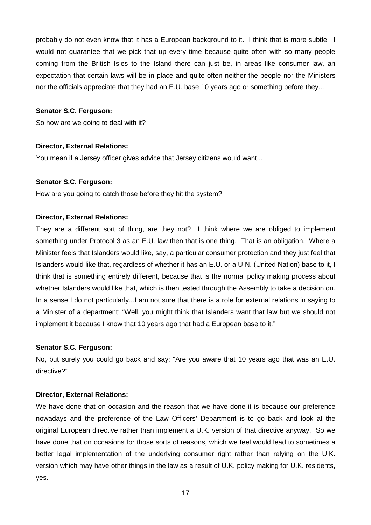probably do not even know that it has a European background to it. I think that is more subtle. I would not guarantee that we pick that up every time because quite often with so many people coming from the British Isles to the Island there can just be, in areas like consumer law, an expectation that certain laws will be in place and quite often neither the people nor the Ministers nor the officials appreciate that they had an E.U. base 10 years ago or something before they...

#### **Senator S.C. Ferguson:**

So how are we going to deal with it?

#### **Director, External Relations:**

You mean if a Jersey officer gives advice that Jersey citizens would want...

#### **Senator S.C. Ferguson:**

How are you going to catch those before they hit the system?

#### **Director, External Relations:**

They are a different sort of thing, are they not? I think where we are obliged to implement something under Protocol 3 as an E.U. law then that is one thing. That is an obligation. Where a Minister feels that Islanders would like, say, a particular consumer protection and they just feel that Islanders would like that, regardless of whether it has an E.U. or a U.N. (United Nation) base to it, I think that is something entirely different, because that is the normal policy making process about whether Islanders would like that, which is then tested through the Assembly to take a decision on. In a sense I do not particularly...I am not sure that there is a role for external relations in saying to a Minister of a department: "Well, you might think that Islanders want that law but we should not implement it because I know that 10 years ago that had a European base to it."

#### **Senator S.C. Ferguson:**

No, but surely you could go back and say: "Are you aware that 10 years ago that was an E.U. directive?"

#### **Director, External Relations:**

We have done that on occasion and the reason that we have done it is because our preference nowadays and the preference of the Law Officers' Department is to go back and look at the original European directive rather than implement a U.K. version of that directive anyway. So we have done that on occasions for those sorts of reasons, which we feel would lead to sometimes a better legal implementation of the underlying consumer right rather than relying on the U.K. version which may have other things in the law as a result of U.K. policy making for U.K. residents, yes.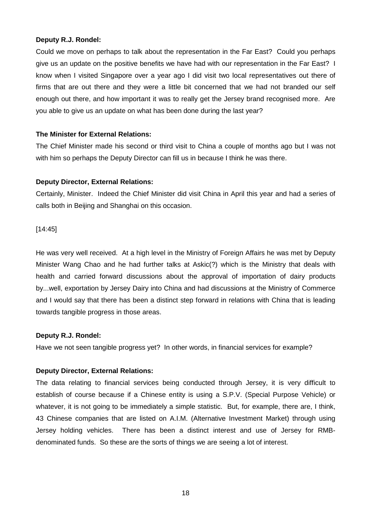## **Deputy R.J. Rondel:**

Could we move on perhaps to talk about the representation in the Far East? Could you perhaps give us an update on the positive benefits we have had with our representation in the Far East? I know when I visited Singapore over a year ago I did visit two local representatives out there of firms that are out there and they were a little bit concerned that we had not branded our self enough out there, and how important it was to really get the Jersey brand recognised more. Are you able to give us an update on what has been done during the last year?

## **The Minister for External Relations:**

The Chief Minister made his second or third visit to China a couple of months ago but I was not with him so perhaps the Deputy Director can fill us in because I think he was there.

## **Deputy Director, External Relations:**

Certainly, Minister. Indeed the Chief Minister did visit China in April this year and had a series of calls both in Beijing and Shanghai on this occasion.

[14:45]

He was very well received. At a high level in the Ministry of Foreign Affairs he was met by Deputy Minister Wang Chao and he had further talks at Askic(?) which is the Ministry that deals with health and carried forward discussions about the approval of importation of dairy products by...well, exportation by Jersey Dairy into China and had discussions at the Ministry of Commerce and I would say that there has been a distinct step forward in relations with China that is leading towards tangible progress in those areas.

# **Deputy R.J. Rondel:**

Have we not seen tangible progress yet? In other words, in financial services for example?

# **Deputy Director, External Relations:**

The data relating to financial services being conducted through Jersey, it is very difficult to establish of course because if a Chinese entity is using a S.P.V. (Special Purpose Vehicle) or whatever, it is not going to be immediately a simple statistic. But, for example, there are, I think, 43 Chinese companies that are listed on A.I.M. (Alternative Investment Market) through using Jersey holding vehicles. There has been a distinct interest and use of Jersey for RMBdenominated funds. So these are the sorts of things we are seeing a lot of interest.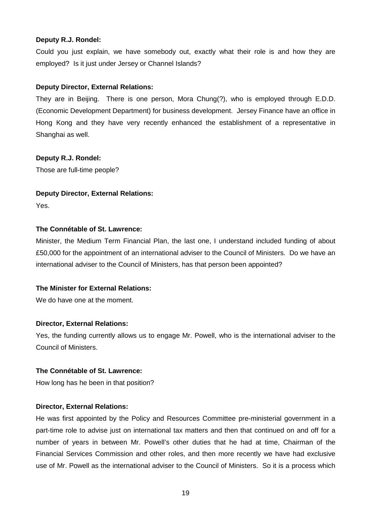## **Deputy R.J. Rondel:**

Could you just explain, we have somebody out, exactly what their role is and how they are employed? Is it just under Jersey or Channel Islands?

#### **Deputy Director, External Relations:**

They are in Beijing. There is one person, Mora Chung(?), who is employed through E.D.D. (Economic Development Department) for business development. Jersey Finance have an office in Hong Kong and they have very recently enhanced the establishment of a representative in Shanghai as well.

## **Deputy R.J. Rondel:**

Those are full-time people?

## **Deputy Director, External Relations:**

Yes.

## **The Connétable of St. Lawrence:**

Minister, the Medium Term Financial Plan, the last one, I understand included funding of about £50,000 for the appointment of an international adviser to the Council of Ministers. Do we have an international adviser to the Council of Ministers, has that person been appointed?

# **The Minister for External Relations:**

We do have one at the moment.

## **Director, External Relations:**

Yes, the funding currently allows us to engage Mr. Powell, who is the international adviser to the Council of Ministers.

#### **The Connétable of St. Lawrence:**

How long has he been in that position?

## **Director, External Relations:**

He was first appointed by the Policy and Resources Committee pre-ministerial government in a part-time role to advise just on international tax matters and then that continued on and off for a number of years in between Mr. Powell's other duties that he had at time, Chairman of the Financial Services Commission and other roles, and then more recently we have had exclusive use of Mr. Powell as the international adviser to the Council of Ministers. So it is a process which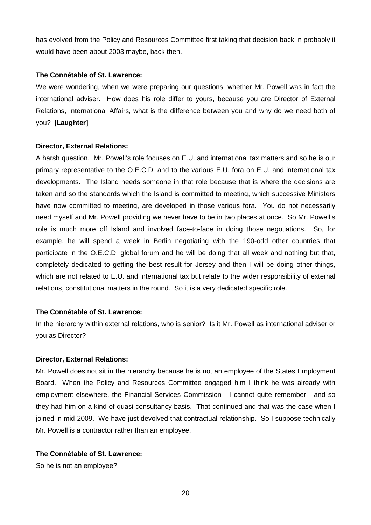has evolved from the Policy and Resources Committee first taking that decision back in probably it would have been about 2003 maybe, back then.

#### **The Connétable of St. Lawrence:**

We were wondering, when we were preparing our questions, whether Mr. Powell was in fact the international adviser. How does his role differ to yours, because you are Director of External Relations, International Affairs, what is the difference between you and why do we need both of you? [**Laughter]** 

#### **Director, External Relations:**

A harsh question. Mr. Powell's role focuses on E.U. and international tax matters and so he is our primary representative to the O.E.C.D. and to the various E.U. fora on E.U. and international tax developments. The Island needs someone in that role because that is where the decisions are taken and so the standards which the Island is committed to meeting, which successive Ministers have now committed to meeting, are developed in those various fora. You do not necessarily need myself and Mr. Powell providing we never have to be in two places at once. So Mr. Powell's role is much more off Island and involved face-to-face in doing those negotiations. So, for example, he will spend a week in Berlin negotiating with the 190-odd other countries that participate in the O.E.C.D. global forum and he will be doing that all week and nothing but that, completely dedicated to getting the best result for Jersey and then I will be doing other things, which are not related to E.U. and international tax but relate to the wider responsibility of external relations, constitutional matters in the round. So it is a very dedicated specific role.

## **The Connétable of St. Lawrence:**

In the hierarchy within external relations, who is senior? Is it Mr. Powell as international adviser or you as Director?

## **Director, External Relations:**

Mr. Powell does not sit in the hierarchy because he is not an employee of the States Employment Board. When the Policy and Resources Committee engaged him I think he was already with employment elsewhere, the Financial Services Commission - I cannot quite remember - and so they had him on a kind of quasi consultancy basis. That continued and that was the case when I joined in mid-2009. We have just devolved that contractual relationship. So I suppose technically Mr. Powell is a contractor rather than an employee.

# **The Connétable of St. Lawrence:**

So he is not an employee?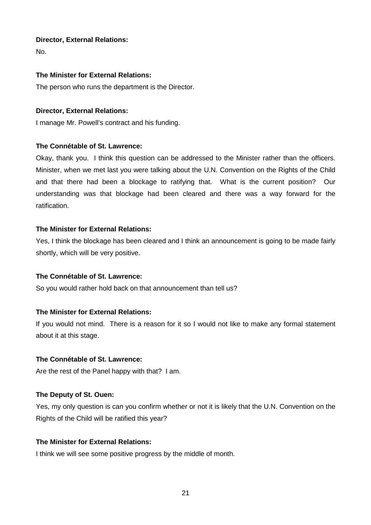## **Director, External Relations:**

No.

## **The Minister for External Relations:**

The person who runs the department is the Director.

## **Director, External Relations:**

I manage Mr. Powell's contract and his funding.

# **The Connétable of St. Lawrence:**

Okay, thank you. I think this question can be addressed to the Minister rather than the officers. Minister, when we met last you were talking about the U.N. Convention on the Rights of the Child and that there had been a blockage to ratifying that. What is the current position? Our understanding was that blockage had been cleared and there was a way forward for the ratification.

## **The Minister for External Relations:**

Yes, I think the blockage has been cleared and I think an announcement is going to be made fairly shortly, which will be very positive.

# **The Connétable of St. Lawrence:**

So you would rather hold back on that announcement than tell us?

# **The Minister for External Relations:**

If you would not mind. There is a reason for it so I would not like to make any formal statement about it at this stage.

## **The Connétable of St. Lawrence:**

Are the rest of the Panel happy with that? I am.

# **The Deputy of St. Ouen:**

Yes, my only question is can you confirm whether or not it is likely that the U.N. Convention on the Rights of the Child will be ratified this year?

# **The Minister for External Relations:**

I think we will see some positive progress by the middle of month.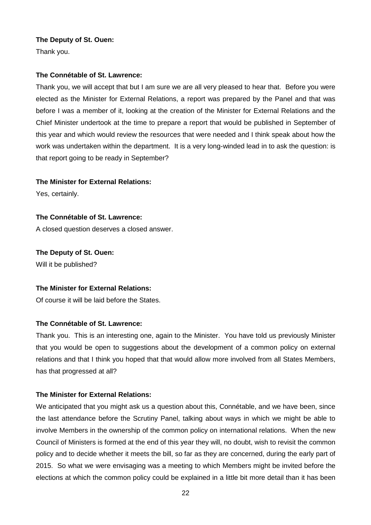## **The Deputy of St. Ouen:**

Thank you.

## **The Connétable of St. Lawrence:**

Thank you, we will accept that but I am sure we are all very pleased to hear that. Before you were elected as the Minister for External Relations, a report was prepared by the Panel and that was before I was a member of it, looking at the creation of the Minister for External Relations and the Chief Minister undertook at the time to prepare a report that would be published in September of this year and which would review the resources that were needed and I think speak about how the work was undertaken within the department. It is a very long-winded lead in to ask the question: is that report going to be ready in September?

#### **The Minister for External Relations:**

Yes, certainly.

#### **The Connétable of St. Lawrence:**

A closed question deserves a closed answer.

**The Deputy of St. Ouen:**  Will it be published?

#### **The Minister for External Relations:**

Of course it will be laid before the States.

## **The Connétable of St. Lawrence:**

Thank you. This is an interesting one, again to the Minister. You have told us previously Minister that you would be open to suggestions about the development of a common policy on external relations and that I think you hoped that that would allow more involved from all States Members, has that progressed at all?

## **The Minister for External Relations:**

We anticipated that you might ask us a question about this, Connétable, and we have been, since the last attendance before the Scrutiny Panel, talking about ways in which we might be able to involve Members in the ownership of the common policy on international relations. When the new Council of Ministers is formed at the end of this year they will, no doubt, wish to revisit the common policy and to decide whether it meets the bill, so far as they are concerned, during the early part of 2015. So what we were envisaging was a meeting to which Members might be invited before the elections at which the common policy could be explained in a little bit more detail than it has been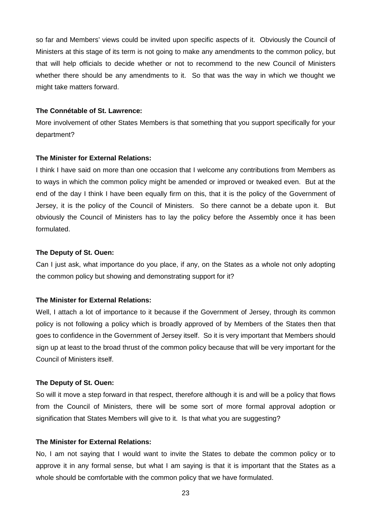so far and Members' views could be invited upon specific aspects of it. Obviously the Council of Ministers at this stage of its term is not going to make any amendments to the common policy, but that will help officials to decide whether or not to recommend to the new Council of Ministers whether there should be any amendments to it. So that was the way in which we thought we might take matters forward.

#### **The Connétable of St. Lawrence:**

More involvement of other States Members is that something that you support specifically for your department?

#### **The Minister for External Relations:**

I think I have said on more than one occasion that I welcome any contributions from Members as to ways in which the common policy might be amended or improved or tweaked even. But at the end of the day I think I have been equally firm on this, that it is the policy of the Government of Jersey, it is the policy of the Council of Ministers. So there cannot be a debate upon it. But obviously the Council of Ministers has to lay the policy before the Assembly once it has been formulated.

#### **The Deputy of St. Ouen:**

Can I just ask, what importance do you place, if any, on the States as a whole not only adopting the common policy but showing and demonstrating support for it?

#### **The Minister for External Relations:**

Well, I attach a lot of importance to it because if the Government of Jersey, through its common policy is not following a policy which is broadly approved of by Members of the States then that goes to confidence in the Government of Jersey itself. So it is very important that Members should sign up at least to the broad thrust of the common policy because that will be very important for the Council of Ministers itself.

#### **The Deputy of St. Ouen:**

So will it move a step forward in that respect, therefore although it is and will be a policy that flows from the Council of Ministers, there will be some sort of more formal approval adoption or signification that States Members will give to it. Is that what you are suggesting?

#### **The Minister for External Relations:**

No, I am not saying that I would want to invite the States to debate the common policy or to approve it in any formal sense, but what I am saying is that it is important that the States as a whole should be comfortable with the common policy that we have formulated.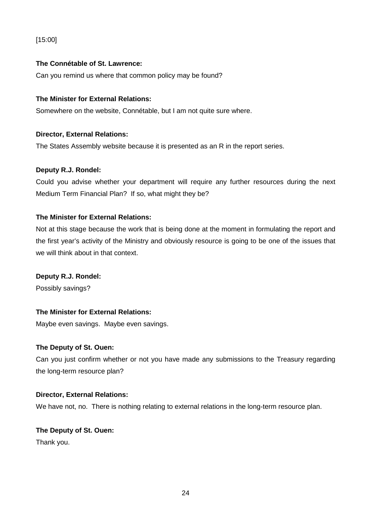# [15:00]

# **The Connétable of St. Lawrence:**

Can you remind us where that common policy may be found?

# **The Minister for External Relations:**

Somewhere on the website, Connétable, but I am not quite sure where.

## **Director, External Relations:**

The States Assembly website because it is presented as an R in the report series.

## **Deputy R.J. Rondel:**

Could you advise whether your department will require any further resources during the next Medium Term Financial Plan? If so, what might they be?

## **The Minister for External Relations:**

Not at this stage because the work that is being done at the moment in formulating the report and the first year's activity of the Ministry and obviously resource is going to be one of the issues that we will think about in that context.

## **Deputy R.J. Rondel:**

Possibly savings?

# **The Minister for External Relations:**

Maybe even savings. Maybe even savings.

## **The Deputy of St. Ouen:**

Can you just confirm whether or not you have made any submissions to the Treasury regarding the long-term resource plan?

## **Director, External Relations:**

We have not, no. There is nothing relating to external relations in the long-term resource plan.

# **The Deputy of St. Ouen:**

Thank you.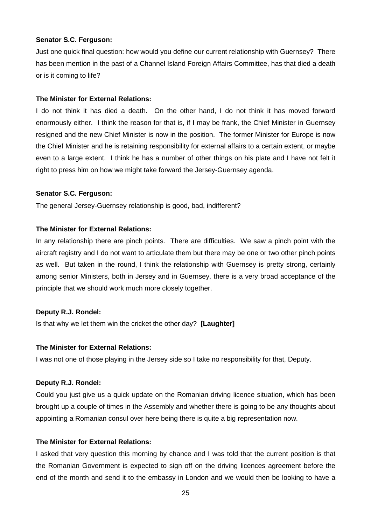#### **Senator S.C. Ferguson:**

Just one quick final question: how would you define our current relationship with Guernsey? There has been mention in the past of a Channel Island Foreign Affairs Committee, has that died a death or is it coming to life?

#### **The Minister for External Relations:**

I do not think it has died a death. On the other hand, I do not think it has moved forward enormously either. I think the reason for that is, if I may be frank, the Chief Minister in Guernsey resigned and the new Chief Minister is now in the position. The former Minister for Europe is now the Chief Minister and he is retaining responsibility for external affairs to a certain extent, or maybe even to a large extent. I think he has a number of other things on his plate and I have not felt it right to press him on how we might take forward the Jersey-Guernsey agenda.

#### **Senator S.C. Ferguson:**

The general Jersey-Guernsey relationship is good, bad, indifferent?

## **The Minister for External Relations:**

In any relationship there are pinch points. There are difficulties. We saw a pinch point with the aircraft registry and I do not want to articulate them but there may be one or two other pinch points as well. But taken in the round, I think the relationship with Guernsey is pretty strong, certainly among senior Ministers, both in Jersey and in Guernsey, there is a very broad acceptance of the principle that we should work much more closely together.

## **Deputy R.J. Rondel:**

Is that why we let them win the cricket the other day? **[Laughter]**

#### **The Minister for External Relations:**

I was not one of those playing in the Jersey side so I take no responsibility for that, Deputy.

#### **Deputy R.J. Rondel:**

Could you just give us a quick update on the Romanian driving licence situation, which has been brought up a couple of times in the Assembly and whether there is going to be any thoughts about appointing a Romanian consul over here being there is quite a big representation now.

## **The Minister for External Relations:**

I asked that very question this morning by chance and I was told that the current position is that the Romanian Government is expected to sign off on the driving licences agreement before the end of the month and send it to the embassy in London and we would then be looking to have a